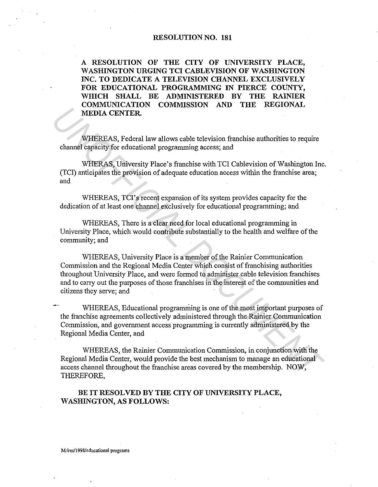## **RESOLUTION NO. 181**

**A RESOLUTION OF THE CITY OF UNIVERSITY PLACE, WASHINGTON URGING TCI CABLEVISION OF WASHINGTON INC. TO DEDICATE A TELEVISION CHANNEL EXCLUSIVELY FOR EDUCATIONAL PROGRAMMING IN PIERCE COUNTY, WHICH SHALL BE ADMINISTERED BY THE RAINIER COMMUNICATION COMMISSION AND THE REGIONAL MEDIA CENTER.** 

WHEREAS, Federal law allows cable television franchise authorities to require channel capacity for educational programming access; and

WHERAS, University Place's franchise with TCI Cablevision of Washington Inc. (TCI) anticipates the provision of adequate education access within the franchise area; and

WHEREAS, TCI's recent expansion of its system provides capacity for the dedication of at least one channel exclusively for educational programming; and

WHEREAS, There is a clear need for local educational programming in University Place, which would contribute substantially to the health and welfare of the community; and

WHEREAS, University Place is a member of the Rainier Communication Commission and the Regional Media Center which consist of franchising authorities throughout 'University Place, and were formed to administer cable television franchises and to carry out the purposes of those franchises in the interest of the communities and citizens they serve; and **UNDER CENTER.**<br> **WHEREAS, Federal law allows cable television franchise authorities to require**<br> **CENTER.**<br> **WHEREAS, Toliversity Place is franchise with TCI Cablevision of Washington In<br>
CICI) anticipates the provision o** 

WHEREAS, Educational programming is one of the most important purposes of the franchise agreements collectively administered through the Rainier Communication Commission, and government access programming is currently administered by the Regional Media Center, and

WHEREAS, the Rainier Communication Commission, in conjunction with the Regional Media Center, would provide the best mechanism to manage an educational access channel throughout the franchise areas covered by the membership. NOW, THEREFORE,

## **BE IT RESOLVED BY THE CITY OF UNIVERSITY PLACE, WASHINGTON, AS FOLLOWS:**

**M:/res/1998/educational programs**